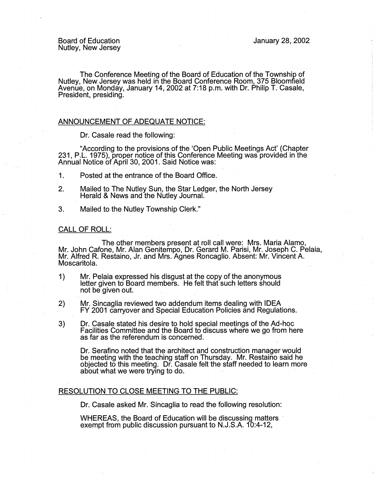The Conference Meeting of the Board of Education of the Township of Nutley, New Jersey was held in the Board Conference Room, 375 Bloomfield Avenue, on Monday, January 14, 2002 at 7:18 p.m. with Dr. Philip T. Casale, President, presiding.

## ANNOUNCEMENT OF ADEQUATE NOTICE:

Dr. Casale read the following:

"According to the provisions of the 'Open Public Meetings Act' (Chapter 231, P.L. 1975), proper notice of this Conference Meeting was provided in the Annual Notice of April 30, 2001. Said Notice was:

- 1. Posted at the entrance of the Board Office.
- 2. Mailed to The Nutley Sun, the Star Ledger, the North Jersey Herald & News and the Nutley Journal.
- 3. Mailed to the Nutley Township Clerk."

## CALL OF ROLL:

The other members present at roll call were: Mrs. Maria Alamo, Mr. John Catone, Mr. Alan Genitempo, Dr. Gerard M. Parisi, Mr. Joseph C. Pelaia, Mr. Alfred R. Restaino, Jr. and Mrs. Agnes Roncaglio. Absent: Mr. Vincent A. Moscaritola.

- 1) Mr. Pelaia expressed his disgust at the copy of the anonymous letter given to Board members. He felt that such letters should not be given out.
- 2) Mr. Sincaglia reviewed two addendum items dealing with IDEA FY 2001 carryover and Special Education Policies and Regulations.
- 3) Dr. Casale stated his desire to hold special meetings of the Ad-hoc Facilities Committee and the Board to discuss where we go from here as far as the referendum is concerned.

Dr. Serafino noted that the architect and construction manager would be meeting with the teaching staff on Thursday. Mr. Restaino said he objected to this meetinQ. Dr. Casale felt the staff needed to learn more about what we were trying to do.

## RESOLUTION TO CLOSE MEETING TO THE PUBLIC:

Dr. Casale asked Mr. Sincaglia to read the following resolution:

WHEREAS, the Board of Education will be discussing matters exempt from public discussion pursuant to N.J.S.A. 10:4-12,